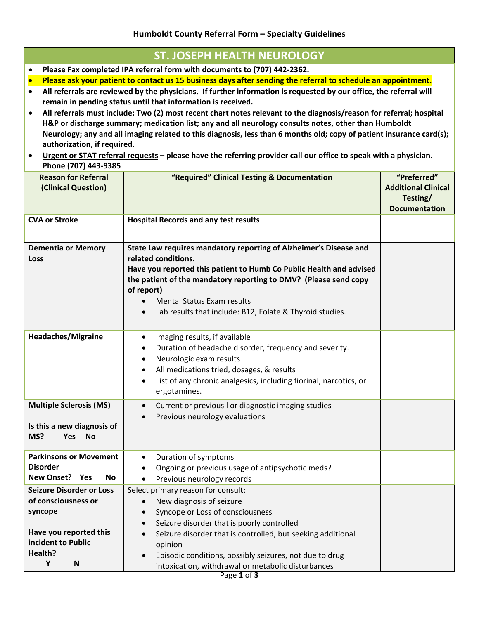## **ST. JOSEPH HEALTH NEUROLOGY**

- **Please Fax completed IPA referral form with documents to (707) 442‐2362.**
- Please ask your patient to contact us 15 business days after sending the referral to schedule an appointment.
- All referrals are reviewed by the physicians. If further information is requested by our office, the referral will **remain in pending status until that information is received.**
- All referrals must include: Two (2) most recent chart notes relevant to the diagnosis/reason for referral; hospital **H&P or discharge summary; medication list; any and all neurology consults notes, other than Humboldt** Neurology; any and all imaging related to this diagnosis, less than 6 months old; copy of patient insurance card(s); **authorization, if required.**
- Urgent or STAT referral requests please have the referring provider call our office to speak with a physician. **Phone (707) 443‐9385**

| <b>Reason for Referral</b><br>(Clinical Question)                                                                                      | "Required" Clinical Testing & Documentation                                                                                                                                                                                                                                                                                                                                                     | "Preferred"<br><b>Additional Clinical</b><br>Testing/<br><b>Documentation</b> |
|----------------------------------------------------------------------------------------------------------------------------------------|-------------------------------------------------------------------------------------------------------------------------------------------------------------------------------------------------------------------------------------------------------------------------------------------------------------------------------------------------------------------------------------------------|-------------------------------------------------------------------------------|
| <b>CVA or Stroke</b>                                                                                                                   | <b>Hospital Records and any test results</b>                                                                                                                                                                                                                                                                                                                                                    |                                                                               |
| <b>Dementia or Memory</b><br>Loss                                                                                                      | State Law requires mandatory reporting of Alzheimer's Disease and<br>related conditions.<br>Have you reported this patient to Humb Co Public Health and advised<br>the patient of the mandatory reporting to DMV? (Please send copy<br>of report)<br><b>Mental Status Exam results</b><br>Lab results that include: B12, Folate & Thyroid studies.                                              |                                                                               |
| <b>Headaches/Migraine</b>                                                                                                              | Imaging results, if available<br>$\bullet$<br>Duration of headache disorder, frequency and severity.<br>Neurologic exam results<br>All medications tried, dosages, & results<br>List of any chronic analgesics, including fiorinal, narcotics, or<br>$\bullet$<br>ergotamines.                                                                                                                  |                                                                               |
| <b>Multiple Sclerosis (MS)</b><br>Is this a new diagnosis of<br>MS?<br><b>Yes</b><br><b>No</b>                                         | Current or previous I or diagnostic imaging studies<br>$\bullet$<br>Previous neurology evaluations<br>$\bullet$                                                                                                                                                                                                                                                                                 |                                                                               |
| <b>Parkinsons or Movement</b><br><b>Disorder</b><br>New Onset? Yes<br>No.                                                              | Duration of symptoms<br>$\bullet$<br>Ongoing or previous usage of antipsychotic meds?<br>٠<br>Previous neurology records                                                                                                                                                                                                                                                                        |                                                                               |
| <b>Seizure Disorder or Loss</b><br>of consciousness or<br>syncope<br>Have you reported this<br>incident to Public<br>Health?<br>Υ<br>N | Select primary reason for consult:<br>New diagnosis of seizure<br>$\bullet$<br>Syncope or Loss of consciousness<br>$\bullet$<br>Seizure disorder that is poorly controlled<br>$\bullet$<br>Seizure disorder that is controlled, but seeking additional<br>$\bullet$<br>opinion<br>Episodic conditions, possibly seizures, not due to drug<br>intoxication, withdrawal or metabolic disturbances |                                                                               |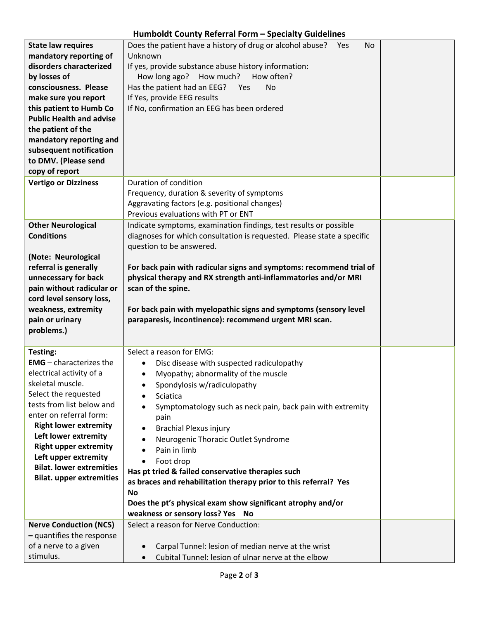## **Humboldt County Referral Form – Specialty Guidelines**

| <b>State law requires</b>                      | Does the patient have a history of drug or alcohol abuse? Yes<br><b>No</b>                               |  |
|------------------------------------------------|----------------------------------------------------------------------------------------------------------|--|
| mandatory reporting of                         | Unknown                                                                                                  |  |
| disorders characterized                        | If yes, provide substance abuse history information:                                                     |  |
| by losses of                                   | How long ago? How much?<br>How often?                                                                    |  |
| consciousness. Please                          | Has the patient had an EEG? Yes<br><b>No</b>                                                             |  |
| make sure you report                           | If Yes, provide EEG results                                                                              |  |
| this patient to Humb Co                        | If No, confirmation an EEG has been ordered                                                              |  |
| <b>Public Health and advise</b>                |                                                                                                          |  |
| the patient of the                             |                                                                                                          |  |
| mandatory reporting and                        |                                                                                                          |  |
| subsequent notification                        |                                                                                                          |  |
| to DMV. (Please send                           |                                                                                                          |  |
| copy of report                                 |                                                                                                          |  |
| <b>Vertigo or Dizziness</b>                    | Duration of condition                                                                                    |  |
|                                                | Frequency, duration & severity of symptoms                                                               |  |
|                                                | Aggravating factors (e.g. positional changes)                                                            |  |
|                                                | Previous evaluations with PT or ENT                                                                      |  |
|                                                | Indicate symptoms, examination findings, test results or possible                                        |  |
| <b>Other Neurological</b><br><b>Conditions</b> |                                                                                                          |  |
|                                                | diagnoses for which consultation is requested. Please state a specific                                   |  |
|                                                | question to be answered.                                                                                 |  |
| (Note: Neurological                            |                                                                                                          |  |
| referral is generally                          | For back pain with radicular signs and symptoms: recommend trial of                                      |  |
| unnecessary for back                           | physical therapy and RX strength anti-inflammatories and/or MRI                                          |  |
| pain without radicular or                      | scan of the spine.                                                                                       |  |
|                                                |                                                                                                          |  |
| cord level sensory loss,                       |                                                                                                          |  |
| weakness, extremity                            | For back pain with myelopathic signs and symptoms (sensory level                                         |  |
| pain or urinary                                | paraparesis, incontinence): recommend urgent MRI scan.                                                   |  |
| problems.)                                     |                                                                                                          |  |
|                                                |                                                                                                          |  |
| Testing:                                       | Select a reason for EMG:                                                                                 |  |
| <b>EMG</b> $-$ characterizes the               | Disc disease with suspected radiculopathy<br>$\bullet$                                                   |  |
| electrical activity of a                       | Myopathy; abnormality of the muscle                                                                      |  |
| skeletal muscle.                               | Spondylosis w/radiculopathy                                                                              |  |
| Select the requested                           | Sciatica<br>$\bullet$                                                                                    |  |
| tests from list below and                      | Symptomatology such as neck pain, back pain with extremity                                               |  |
| enter on referral form:                        | pain                                                                                                     |  |
| <b>Right lower extremity</b>                   | <b>Brachial Plexus injury</b>                                                                            |  |
| Left lower extremity                           | Neurogenic Thoracic Outlet Syndrome                                                                      |  |
| <b>Right upper extremity</b>                   | Pain in limb                                                                                             |  |
| Left upper extremity                           |                                                                                                          |  |
| <b>Bilat. lower extremities</b>                | Foot drop                                                                                                |  |
| <b>Bilat. upper extremities</b>                | Has pt tried & failed conservative therapies such                                                        |  |
|                                                | as braces and rehabilitation therapy prior to this referral? Yes                                         |  |
|                                                | No                                                                                                       |  |
|                                                | Does the pt's physical exam show significant atrophy and/or                                              |  |
|                                                | weakness or sensory loss? Yes No                                                                         |  |
| <b>Nerve Conduction (NCS)</b>                  | Select a reason for Nerve Conduction:                                                                    |  |
| - quantifies the response                      |                                                                                                          |  |
| of a nerve to a given<br>stimulus.             | Carpal Tunnel: lesion of median nerve at the wrist<br>Cubital Tunnel: lesion of ulnar nerve at the elbow |  |